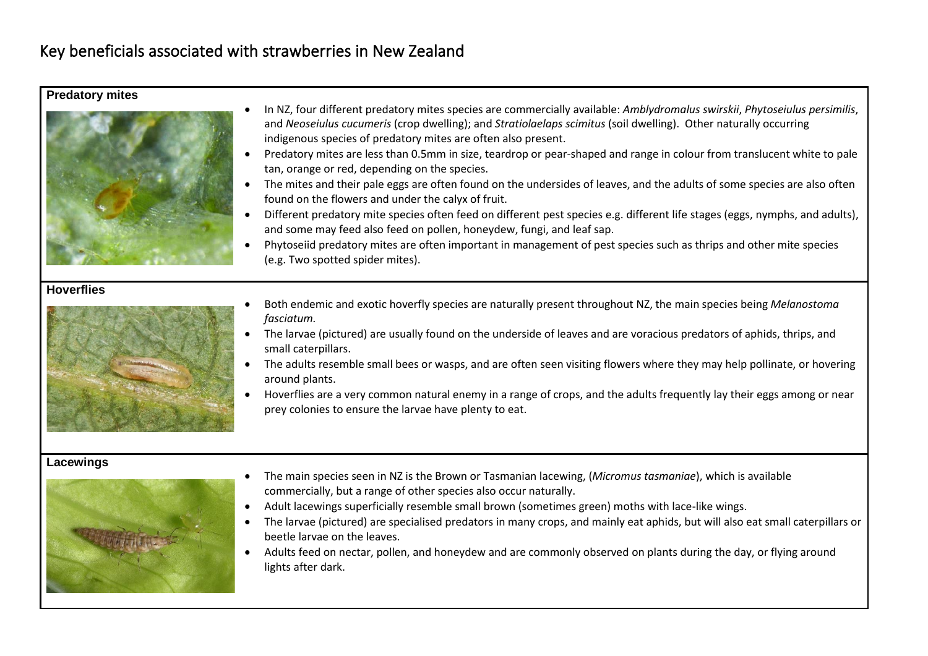# Key beneficials associated with strawberries in New Zealand

## **Predatory mites**



- In NZ, four different predatory mites species are commercially available: *Amblydromalus swirskii*, *Phytoseiulus persimilis*, and *Neoseiulus cucumeris* (crop dwelling); and *Stratiolaelaps scimitus* (soil dwelling). Other naturally occurring indigenous species of predatory mites are often also present.
- Predatory mites are less than 0.5mm in size, teardrop or pear-shaped and range in colour from translucent white to pale tan, orange or red, depending on the species.
- The mites and their pale eggs are often found on the undersides of leaves, and the adults of some species are also often found on the flowers and under the calyx of fruit.
- Different predatory mite species often feed on different pest species e.g. different life stages (eggs, nymphs, and adults), and some may feed also feed on pollen, honeydew, fungi, and leaf sap.
- Phytoseiid predatory mites are often important in management of pest species such as thrips and other mite species (e.g. Two spotted spider mites).

## **Hoverflies**



- Both endemic and exotic hoverfly species are naturally present throughout NZ, the main species being *Melanostoma fasciatum.*
- The larvae (pictured) are usually found on the underside of leaves and are voracious predators of aphids, thrips, and small caterpillars.
- The adults resemble small bees or wasps, and are often seen visiting flowers where they may help pollinate, or hovering around plants.
- Hoverflies are a very common natural enemy in a range of crops, and the adults frequently lay their eggs among or near prey colonies to ensure the larvae have plenty to eat.

#### **Lacewings**



- The main species seen in NZ is the Brown or Tasmanian lacewing, (*Micromus tasmaniae*), which is available commercially, but a range of other species also occur naturally.
- Adult lacewings superficially resemble small brown (sometimes green) moths with lace-like wings.
- The larvae (pictured) are specialised predators in many crops, and mainly eat aphids, but will also eat small caterpillars or beetle larvae on the leaves.
- Adults feed on nectar, pollen, and honeydew and are commonly observed on plants during the day, or flying around lights after dark.